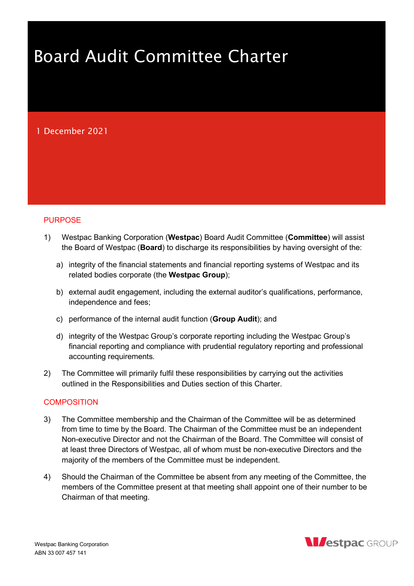# Board Audit Committee Charter

## 1 December 2021

## PURPOSE

- 1) Westpac Banking Corporation (Westpac) Board Audit Committee (Committee) will assist the Board of Westpac (**Board**) to discharge its responsibilities by having oversight of the:
	- a) integrity of the financial statements and financial reporting systems of Westpac and its related bodies corporate (the Westpac Group);
	- b) external audit engagement, including the external auditor's qualifications, performance, independence and fees;
	- c) performance of the internal audit function (Group Audit); and
	- d) integrity of the Westpac Group's corporate reporting including the Westpac Group's financial reporting and compliance with prudential regulatory reporting and professional accounting requirements.
- 2) The Committee will primarily fulfil these responsibilities by carrying out the activities outlined in the Responsibilities and Duties section of this Charter.

## **COMPOSITION**

- 3) The Committee membership and the Chairman of the Committee will be as determined from time to time by the Board. The Chairman of the Committee must be an independent Non-executive Director and not the Chairman of the Board. The Committee will consist of at least three Directors of Westpac, all of whom must be non-executive Directors and the majority of the members of the Committee must be independent.
- 4) Should the Chairman of the Committee be absent from any meeting of the Committee, the members of the Committee present at that meeting shall appoint one of their number to be Chairman of that meeting.

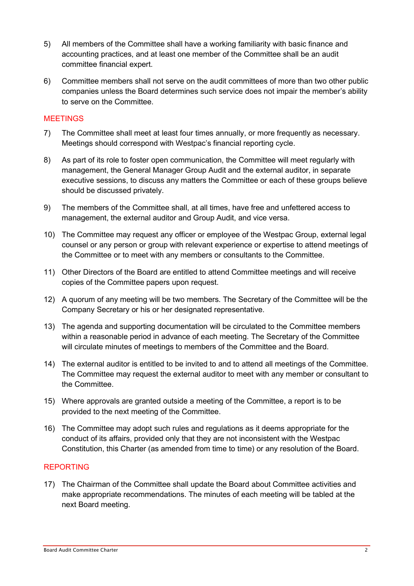- 5) All members of the Committee shall have a working familiarity with basic finance and accounting practices, and at least one member of the Committee shall be an audit committee financial expert.
- 6) Committee members shall not serve on the audit committees of more than two other public companies unless the Board determines such service does not impair the member's ability to serve on the Committee.

## **MEETINGS**

- 7) The Committee shall meet at least four times annually, or more frequently as necessary. Meetings should correspond with Westpac's financial reporting cycle.
- 8) As part of its role to foster open communication, the Committee will meet regularly with management, the General Manager Group Audit and the external auditor, in separate executive sessions, to discuss any matters the Committee or each of these groups believe should be discussed privately.
- 9) The members of the Committee shall, at all times, have free and unfettered access to management, the external auditor and Group Audit, and vice versa.
- 10) The Committee may request any officer or employee of the Westpac Group, external legal counsel or any person or group with relevant experience or expertise to attend meetings of the Committee or to meet with any members or consultants to the Committee.
- 11) Other Directors of the Board are entitled to attend Committee meetings and will receive copies of the Committee papers upon request.
- 12) A quorum of any meeting will be two members. The Secretary of the Committee will be the Company Secretary or his or her designated representative.
- 13) The agenda and supporting documentation will be circulated to the Committee members within a reasonable period in advance of each meeting. The Secretary of the Committee will circulate minutes of meetings to members of the Committee and the Board.
- 14) The external auditor is entitled to be invited to and to attend all meetings of the Committee. The Committee may request the external auditor to meet with any member or consultant to the Committee.
- 15) Where approvals are granted outside a meeting of the Committee, a report is to be provided to the next meeting of the Committee.
- 16) The Committee may adopt such rules and regulations as it deems appropriate for the conduct of its affairs, provided only that they are not inconsistent with the Westpac Constitution, this Charter (as amended from time to time) or any resolution of the Board.

## REPORTING

17) The Chairman of the Committee shall update the Board about Committee activities and make appropriate recommendations. The minutes of each meeting will be tabled at the next Board meeting.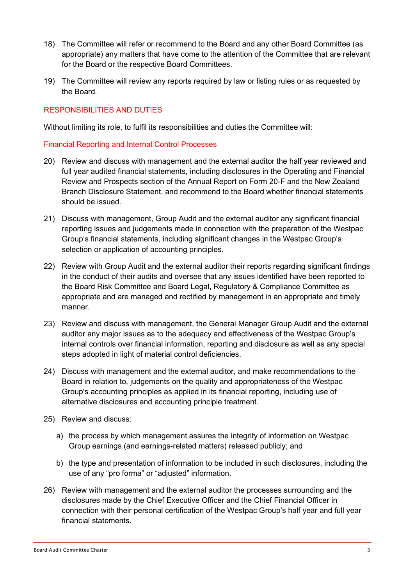- 18) The Committee will refer or recommend to the Board and any other Board Committee (as appropriate) any matters that have come to the attention of the Committee that are relevant for the Board or the respective Board Committees.
- 19) The Committee will review any reports required by law or listing rules or as requested by the Board.

## RESPONSIBILITIES AND DUTIES

Without limiting its role, to fulfil its responsibilities and duties the Committee will:

## Financial Reporting and Internal Control Processes

- 20) Review and discuss with management and the external auditor the half year reviewed and full year audited financial statements, including disclosures in the Operating and Financial Review and Prospects section of the Annual Report on Form 20-F and the New Zealand Branch Disclosure Statement, and recommend to the Board whether financial statements should be issued.
- 21) Discuss with management, Group Audit and the external auditor any significant financial reporting issues and judgements made in connection with the preparation of the Westpac Group's financial statements, including significant changes in the Westpac Group's selection or application of accounting principles.
- 22) Review with Group Audit and the external auditor their reports regarding significant findings in the conduct of their audits and oversee that any issues identified have been reported to the Board Risk Committee and Board Legal, Regulatory & Compliance Committee as appropriate and are managed and rectified by management in an appropriate and timely manner.
- 23) Review and discuss with management, the General Manager Group Audit and the external auditor any major issues as to the adequacy and effectiveness of the Westpac Group's internal controls over financial information, reporting and disclosure as well as any special steps adopted in light of material control deficiencies.
- 24) Discuss with management and the external auditor, and make recommendations to the Board in relation to, judgements on the quality and appropriateness of the Westpac Group's accounting principles as applied in its financial reporting, including use of alternative disclosures and accounting principle treatment.
- 25) Review and discuss:
	- a) the process by which management assures the integrity of information on Westpac Group earnings (and earnings-related matters) released publicly; and
	- b) the type and presentation of information to be included in such disclosures, including the use of any "pro forma" or "adjusted" information.
- 26) Review with management and the external auditor the processes surrounding and the disclosures made by the Chief Executive Officer and the Chief Financial Officer in connection with their personal certification of the Westpac Group's half year and full year financial statements.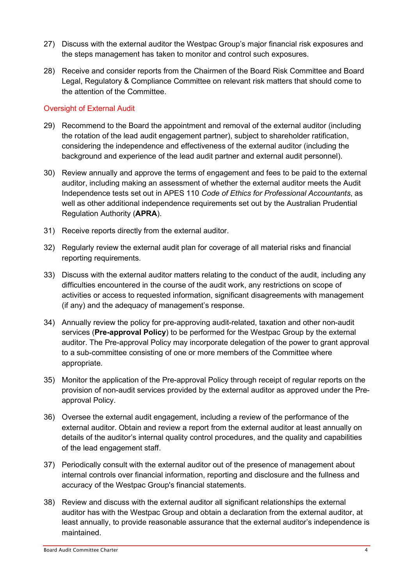- 27) Discuss with the external auditor the Westpac Group's major financial risk exposures and the steps management has taken to monitor and control such exposures.
- 28) Receive and consider reports from the Chairmen of the Board Risk Committee and Board Legal, Regulatory & Compliance Committee on relevant risk matters that should come to the attention of the Committee.

## Oversight of External Audit

- 29) Recommend to the Board the appointment and removal of the external auditor (including the rotation of the lead audit engagement partner), subject to shareholder ratification, considering the independence and effectiveness of the external auditor (including the background and experience of the lead audit partner and external audit personnel).
- 30) Review annually and approve the terms of engagement and fees to be paid to the external auditor, including making an assessment of whether the external auditor meets the Audit Independence tests set out in APES 110 Code of Ethics for Professional Accountants, as well as other additional independence requirements set out by the Australian Prudential Regulation Authority (APRA).
- 31) Receive reports directly from the external auditor.
- 32) Regularly review the external audit plan for coverage of all material risks and financial reporting requirements.
- 33) Discuss with the external auditor matters relating to the conduct of the audit, including any difficulties encountered in the course of the audit work, any restrictions on scope of activities or access to requested information, significant disagreements with management (if any) and the adequacy of management's response.
- 34) Annually review the policy for pre-approving audit-related, taxation and other non-audit services (Pre-approval Policy) to be performed for the Westpac Group by the external auditor. The Pre-approval Policy may incorporate delegation of the power to grant approval to a sub-committee consisting of one or more members of the Committee where appropriate.
- 35) Monitor the application of the Pre-approval Policy through receipt of regular reports on the provision of non-audit services provided by the external auditor as approved under the Preapproval Policy.
- 36) Oversee the external audit engagement, including a review of the performance of the external auditor. Obtain and review a report from the external auditor at least annually on details of the auditor's internal quality control procedures, and the quality and capabilities of the lead engagement staff.
- 37) Periodically consult with the external auditor out of the presence of management about internal controls over financial information, reporting and disclosure and the fullness and accuracy of the Westpac Group's financial statements.
- 38) Review and discuss with the external auditor all significant relationships the external auditor has with the Westpac Group and obtain a declaration from the external auditor, at least annually, to provide reasonable assurance that the external auditor's independence is maintained.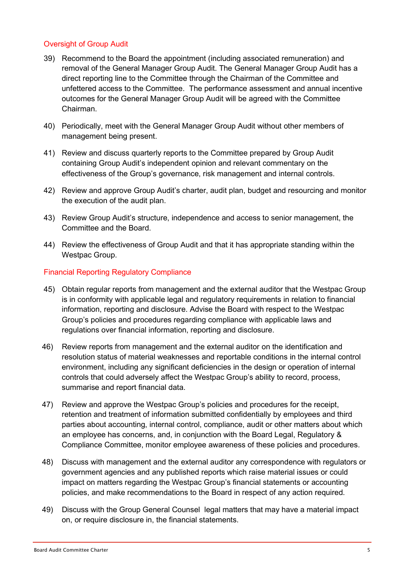## Oversight of Group Audit

- 39) Recommend to the Board the appointment (including associated remuneration) and removal of the General Manager Group Audit. The General Manager Group Audit has a direct reporting line to the Committee through the Chairman of the Committee and unfettered access to the Committee. The performance assessment and annual incentive outcomes for the General Manager Group Audit will be agreed with the Committee Chairman.
- 40) Periodically, meet with the General Manager Group Audit without other members of management being present.
- 41) Review and discuss quarterly reports to the Committee prepared by Group Audit containing Group Audit's independent opinion and relevant commentary on the effectiveness of the Group's governance, risk management and internal controls.
- 42) Review and approve Group Audit's charter, audit plan, budget and resourcing and monitor the execution of the audit plan.
- 43) Review Group Audit's structure, independence and access to senior management, the Committee and the Board.
- 44) Review the effectiveness of Group Audit and that it has appropriate standing within the Westpac Group.

## Financial Reporting Regulatory Compliance

- 45) Obtain regular reports from management and the external auditor that the Westpac Group is in conformity with applicable legal and regulatory requirements in relation to financial information, reporting and disclosure. Advise the Board with respect to the Westpac Group's policies and procedures regarding compliance with applicable laws and regulations over financial information, reporting and disclosure.
- 46) Review reports from management and the external auditor on the identification and resolution status of material weaknesses and reportable conditions in the internal control environment, including any significant deficiencies in the design or operation of internal controls that could adversely affect the Westpac Group's ability to record, process, summarise and report financial data.
- 47) Review and approve the Westpac Group's policies and procedures for the receipt, retention and treatment of information submitted confidentially by employees and third parties about accounting, internal control, compliance, audit or other matters about which an employee has concerns, and, in conjunction with the Board Legal, Regulatory & Compliance Committee, monitor employee awareness of these policies and procedures.
- 48) Discuss with management and the external auditor any correspondence with regulators or government agencies and any published reports which raise material issues or could impact on matters regarding the Westpac Group's financial statements or accounting policies, and make recommendations to the Board in respect of any action required.
- 49) Discuss with the Group General Counsel legal matters that may have a material impact on, or require disclosure in, the financial statements.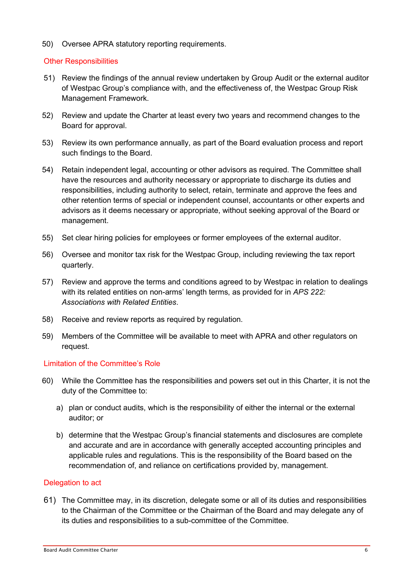50) Oversee APRA statutory reporting requirements.

## Other Responsibilities

- 51) Review the findings of the annual review undertaken by Group Audit or the external auditor of Westpac Group's compliance with, and the effectiveness of, the Westpac Group Risk Management Framework.
- 52) Review and update the Charter at least every two years and recommend changes to the Board for approval.
- 53) Review its own performance annually, as part of the Board evaluation process and report such findings to the Board.
- 54) Retain independent legal, accounting or other advisors as required. The Committee shall have the resources and authority necessary or appropriate to discharge its duties and responsibilities, including authority to select, retain, terminate and approve the fees and other retention terms of special or independent counsel, accountants or other experts and advisors as it deems necessary or appropriate, without seeking approval of the Board or management.
- 55) Set clear hiring policies for employees or former employees of the external auditor.
- 56) Oversee and monitor tax risk for the Westpac Group, including reviewing the tax report quarterly.
- 57) Review and approve the terms and conditions agreed to by Westpac in relation to dealings with its related entities on non-arms' length terms, as provided for in APS 222: Associations with Related Entities.
- 58) Receive and review reports as required by regulation.
- 59) Members of the Committee will be available to meet with APRA and other regulators on request.

## Limitation of the Committee's Role

- 60) While the Committee has the responsibilities and powers set out in this Charter, it is not the duty of the Committee to:
	- a) plan or conduct audits, which is the responsibility of either the internal or the external auditor; or
	- b) determine that the Westpac Group's financial statements and disclosures are complete and accurate and are in accordance with generally accepted accounting principles and applicable rules and regulations. This is the responsibility of the Board based on the recommendation of, and reliance on certifications provided by, management.

#### Delegation to act

61) The Committee may, in its discretion, delegate some or all of its duties and responsibilities to the Chairman of the Committee or the Chairman of the Board and may delegate any of its duties and responsibilities to a sub-committee of the Committee.